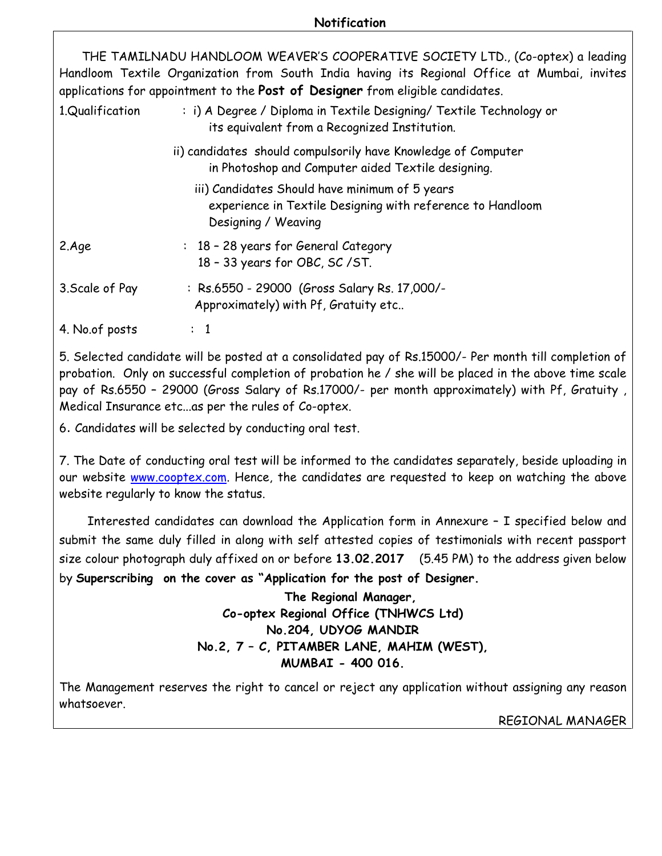## **Notification**

 THE TAMILNADU HANDLOOM WEAVER'S COOPERATIVE SOCIETY LTD., (Co-optex) a leading Handloom Textile Organization from South India having its Regional Office at Mumbai, invites applications for appointment to the **Post of Designer** from eligible candidates.

| 1.Qualification | : i) A Degree / Diploma in Textile Designing/ Textile Technology or<br>its equivalent from a Recognized Institution.                |  |
|-----------------|-------------------------------------------------------------------------------------------------------------------------------------|--|
|                 | ii) candidates should compulsorily have Knowledge of Computer<br>in Photoshop and Computer aided Textile designing.                 |  |
|                 | iii) Candidates Should have minimum of 5 years<br>experience in Textile Designing with reference to Handloom<br>Designing / Weaving |  |
| 2.Age           | : 18 - 28 years for General Category<br>18 - 33 years for OBC, SC / ST.                                                             |  |
| 3. Scale of Pay | : Rs.6550 - 29000 (Gross Salary Rs. 17,000/-<br>Approximately) with Pf, Gratuity etc                                                |  |
| 4. No.of posts  | $\colon$ 1                                                                                                                          |  |

5. Selected candidate will be posted at a consolidated pay of Rs.15000/- Per month till completion of probation. Only on successful completion of probation he / she will be placed in the above time scale pay of Rs.6550 – 29000 (Gross Salary of Rs.17000/- per month approximately) with Pf, Gratuity , Medical Insurance etc...as per the rules of Co-optex.

6. Candidates will be selected by conducting oral test.

7. The Date of conducting oral test will be informed to the candidates separately, beside uploading in our website **www.cooptex.com**. Hence, the candidates are requested to keep on watching the above website regularly to know the status.

 Interested candidates can download the Application form in Annexure – I specified below and submit the same duly filled in along with self attested copies of testimonials with recent passport size colour photograph duly affixed on or before 13.02.2017 (5.45 PM) to the address given below by Superscribing on the cover as "Application for the post of Designer.

> The Regional Manager, Co-optex Regional Office (TNHWCS Ltd) No.204, UDYOG MANDIR No.2, 7 – C, PITAMBER LANE, MAHIM (WEST), MUMBAI - 400 016.

The Management reserves the right to cancel or reject any application without assigning any reason whatsoever.

REGIONAL MANAGER